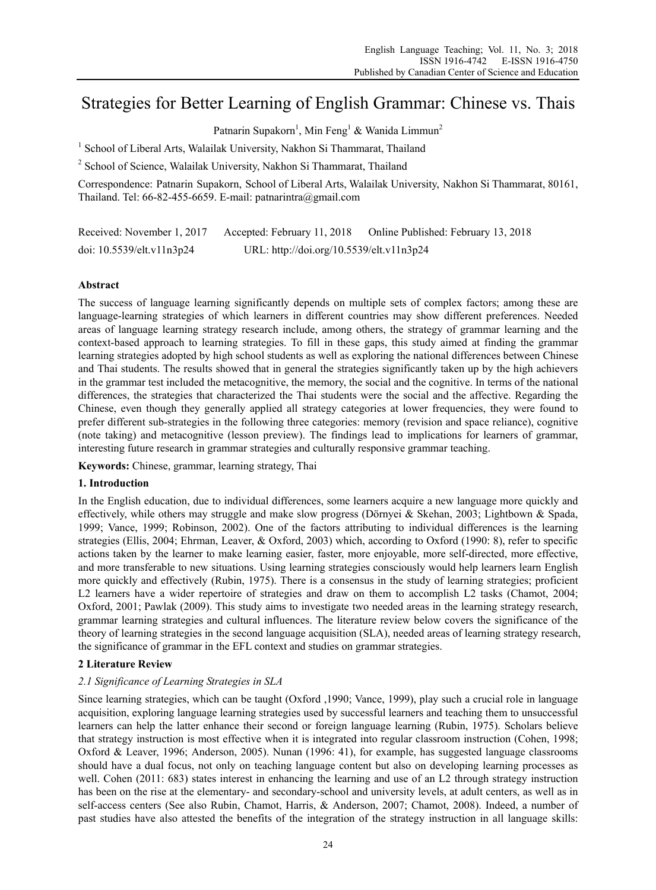# Strategies for Better Learning of English Grammar: Chinese vs. Thais

Patnarin Supakorn<sup>1</sup>, Min Feng<sup>1</sup> & Wanida Limmun<sup>2</sup>

<sup>1</sup> School of Liberal Arts, Walailak University, Nakhon Si Thammarat, Thailand

<sup>2</sup> School of Science, Walailak University, Nakhon Si Thammarat, Thailand

Correspondence: Patnarin Supakorn, School of Liberal Arts, Walailak University, Nakhon Si Thammarat, 80161, Thailand. Tel: 66-82-455-6659. E-mail: patnarintra@gmail.com

Received: November 1, 2017 Accepted: February 11, 2018 Online Published: February 13, 2018 doi: 10.5539/elt.v11n3p24 URL: http://doi.org/10.5539/elt.v11n3p24

# **Abstract**

The success of language learning significantly depends on multiple sets of complex factors; among these are language-learning strategies of which learners in different countries may show different preferences. Needed areas of language learning strategy research include, among others, the strategy of grammar learning and the context-based approach to learning strategies. To fill in these gaps, this study aimed at finding the grammar learning strategies adopted by high school students as well as exploring the national differences between Chinese and Thai students. The results showed that in general the strategies significantly taken up by the high achievers in the grammar test included the metacognitive, the memory, the social and the cognitive. In terms of the national differences, the strategies that characterized the Thai students were the social and the affective. Regarding the Chinese, even though they generally applied all strategy categories at lower frequencies, they were found to prefer different sub-strategies in the following three categories: memory (revision and space reliance), cognitive (note taking) and metacognitive (lesson preview). The findings lead to implications for learners of grammar, interesting future research in grammar strategies and culturally responsive grammar teaching.

**Keywords:** Chinese, grammar, learning strategy, Thai

## **1. Introduction**

In the English education, due to individual differences, some learners acquire a new language more quickly and effectively, while others may struggle and make slow progress (Dörnyei & Skehan, 2003; Lightbown & Spada, 1999; Vance, 1999; Robinson, 2002). One of the factors attributing to individual differences is the learning strategies (Ellis, 2004; Ehrman, Leaver, & Oxford, 2003) which, according to Oxford (1990: 8), refer to specific actions taken by the learner to make learning easier, faster, more enjoyable, more self-directed, more effective, and more transferable to new situations. Using learning strategies consciously would help learners learn English more quickly and effectively (Rubin, 1975). There is a consensus in the study of learning strategies; proficient L2 learners have a wider repertoire of strategies and draw on them to accomplish L2 tasks (Chamot, 2004; Oxford, 2001; Pawlak (2009). This study aims to investigate two needed areas in the learning strategy research, grammar learning strategies and cultural influences. The literature review below covers the significance of the theory of learning strategies in the second language acquisition (SLA), needed areas of learning strategy research, the significance of grammar in the EFL context and studies on grammar strategies.

# **2 Literature Review**

# *2.1 Significance of Learning Strategies in SLA*

Since learning strategies, which can be taught (Oxford ,1990; Vance, 1999), play such a crucial role in language acquisition, exploring language learning strategies used by successful learners and teaching them to unsuccessful learners can help the latter enhance their second or foreign language learning (Rubin, 1975). Scholars believe that strategy instruction is most effective when it is integrated into regular classroom instruction (Cohen, 1998; Oxford & Leaver, 1996; Anderson, 2005). Nunan (1996: 41), for example, has suggested language classrooms should have a dual focus, not only on teaching language content but also on developing learning processes as well. Cohen (2011: 683) states interest in enhancing the learning and use of an L2 through strategy instruction has been on the rise at the elementary- and secondary-school and university levels, at adult centers, as well as in self-access centers (See also Rubin, Chamot, Harris, & Anderson, 2007; Chamot, 2008). Indeed, a number of past studies have also attested the benefits of the integration of the strategy instruction in all language skills: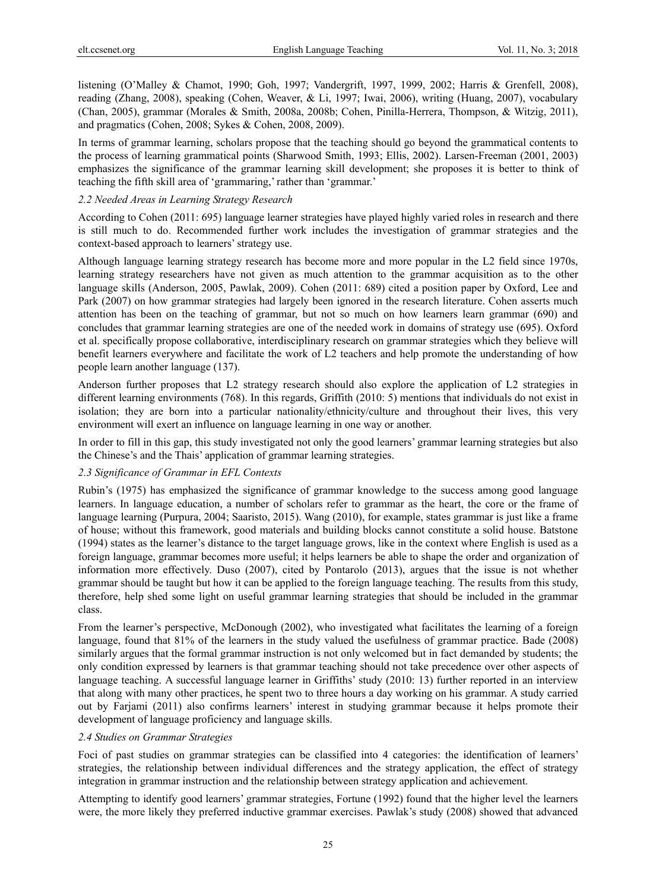listening (O'Malley & Chamot, 1990; Goh, 1997; Vandergrift, 1997, 1999, 2002; Harris & Grenfell, 2008), reading (Zhang, 2008), speaking (Cohen, Weaver, & Li, 1997; Iwai, 2006), writing (Huang, 2007), vocabulary (Chan, 2005), grammar (Morales & Smith, 2008a, 2008b; Cohen, Pinilla-Herrera, Thompson, & Witzig, 2011), and pragmatics (Cohen, 2008; Sykes & Cohen, 2008, 2009).

In terms of grammar learning, scholars propose that the teaching should go beyond the grammatical contents to the process of learning grammatical points (Sharwood Smith, 1993; Ellis, 2002). Larsen-Freeman (2001, 2003) emphasizes the significance of the grammar learning skill development; she proposes it is better to think of teaching the fifth skill area of 'grammaring,' rather than 'grammar.'

#### *2.2 Needed Areas in Learning Strategy Research*

According to Cohen (2011: 695) language learner strategies have played highly varied roles in research and there is still much to do. Recommended further work includes the investigation of grammar strategies and the context-based approach to learners' strategy use.

Although language learning strategy research has become more and more popular in the L2 field since 1970s, learning strategy researchers have not given as much attention to the grammar acquisition as to the other language skills (Anderson, 2005, Pawlak, 2009). Cohen (2011: 689) cited a position paper by Oxford, Lee and Park (2007) on how grammar strategies had largely been ignored in the research literature. Cohen asserts much attention has been on the teaching of grammar, but not so much on how learners learn grammar (690) and concludes that grammar learning strategies are one of the needed work in domains of strategy use (695). Oxford et al. specifically propose collaborative, interdisciplinary research on grammar strategies which they believe will benefit learners everywhere and facilitate the work of L2 teachers and help promote the understanding of how people learn another language (137).

Anderson further proposes that L2 strategy research should also explore the application of L2 strategies in different learning environments (768). In this regards, Griffith (2010: 5) mentions that individuals do not exist in isolation; they are born into a particular nationality/ethnicity/culture and throughout their lives, this very environment will exert an influence on language learning in one way or another.

In order to fill in this gap, this study investigated not only the good learners' grammar learning strategies but also the Chinese's and the Thais' application of grammar learning strategies.

## *2.3 Significance of Grammar in EFL Contexts*

Rubin's (1975) has emphasized the significance of grammar knowledge to the success among good language learners. In language education, a number of scholars refer to grammar as the heart, the core or the frame of language learning (Purpura, 2004; Saaristo, 2015). Wang (2010), for example, states grammar is just like a frame of house; without this framework, good materials and building blocks cannot constitute a solid house. Batstone (1994) states as the learner's distance to the target language grows, like in the context where English is used as a foreign language, grammar becomes more useful; it helps learners be able to shape the order and organization of information more effectively. Duso (2007), cited by Pontarolo (2013), argues that the issue is not whether grammar should be taught but how it can be applied to the foreign language teaching. The results from this study, therefore, help shed some light on useful grammar learning strategies that should be included in the grammar class.

From the learner's perspective, McDonough (2002), who investigated what facilitates the learning of a foreign language, found that 81% of the learners in the study valued the usefulness of grammar practice. Bade (2008) similarly argues that the formal grammar instruction is not only welcomed but in fact demanded by students; the only condition expressed by learners is that grammar teaching should not take precedence over other aspects of language teaching. A successful language learner in Griffiths' study (2010: 13) further reported in an interview that along with many other practices, he spent two to three hours a day working on his grammar. A study carried out by Farjami (2011) also confirms learners' interest in studying grammar because it helps promote their development of language proficiency and language skills.

#### *2.4 Studies on Grammar Strategies*

Foci of past studies on grammar strategies can be classified into 4 categories: the identification of learners' strategies, the relationship between individual differences and the strategy application, the effect of strategy integration in grammar instruction and the relationship between strategy application and achievement.

Attempting to identify good learners' grammar strategies, Fortune (1992) found that the higher level the learners were, the more likely they preferred inductive grammar exercises. Pawlak's study (2008) showed that advanced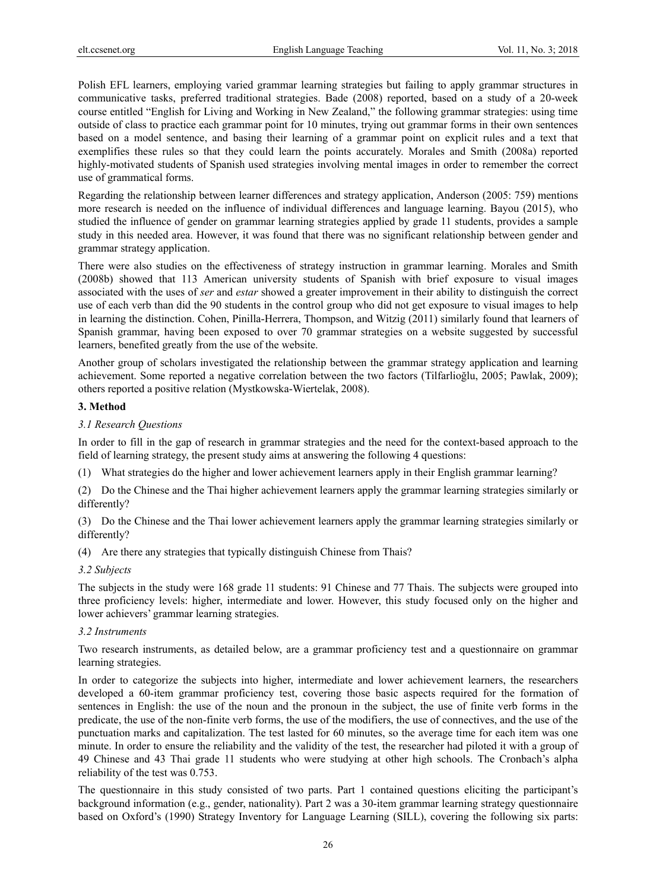Polish EFL learners, employing varied grammar learning strategies but failing to apply grammar structures in communicative tasks, preferred traditional strategies. Bade (2008) reported, based on a study of a 20-week course entitled "English for Living and Working in New Zealand," the following grammar strategies: using time outside of class to practice each grammar point for 10 minutes, trying out grammar forms in their own sentences based on a model sentence, and basing their learning of a grammar point on explicit rules and a text that exemplifies these rules so that they could learn the points accurately. Morales and Smith (2008a) reported highly-motivated students of Spanish used strategies involving mental images in order to remember the correct use of grammatical forms.

Regarding the relationship between learner differences and strategy application, Anderson (2005: 759) mentions more research is needed on the influence of individual differences and language learning. Bayou (2015), who studied the influence of gender on grammar learning strategies applied by grade 11 students, provides a sample study in this needed area. However, it was found that there was no significant relationship between gender and grammar strategy application.

There were also studies on the effectiveness of strategy instruction in grammar learning. Morales and Smith (2008b) showed that 113 American university students of Spanish with brief exposure to visual images associated with the uses of *ser* and *estar* showed a greater improvement in their ability to distinguish the correct use of each verb than did the 90 students in the control group who did not get exposure to visual images to help in learning the distinction. Cohen, Pinilla-Herrera, Thompson, and Witzig (2011) similarly found that learners of Spanish grammar, having been exposed to over 70 grammar strategies on a website suggested by successful learners, benefited greatly from the use of the website.

Another group of scholars investigated the relationship between the grammar strategy application and learning achievement. Some reported a negative correlation between the two factors (Tilfarlioğlu, 2005; Pawlak, 2009); others reported a positive relation (Mystkowska-Wiertelak, 2008).

## **3. Method**

#### *3.1 Research Questions*

In order to fill in the gap of research in grammar strategies and the need for the context-based approach to the field of learning strategy, the present study aims at answering the following 4 questions:

(1) What strategies do the higher and lower achievement learners apply in their English grammar learning?

(2) Do the Chinese and the Thai higher achievement learners apply the grammar learning strategies similarly or differently?

(3) Do the Chinese and the Thai lower achievement learners apply the grammar learning strategies similarly or differently?

(4) Are there any strategies that typically distinguish Chinese from Thais?

## *3.2 Subjects*

The subjects in the study were 168 grade 11 students: 91 Chinese and 77 Thais. The subjects were grouped into three proficiency levels: higher, intermediate and lower. However, this study focused only on the higher and lower achievers' grammar learning strategies.

#### *3.2 Instruments*

Two research instruments, as detailed below, are a grammar proficiency test and a questionnaire on grammar learning strategies.

In order to categorize the subjects into higher, intermediate and lower achievement learners, the researchers developed a 60-item grammar proficiency test, covering those basic aspects required for the formation of sentences in English: the use of the noun and the pronoun in the subject, the use of finite verb forms in the predicate, the use of the non-finite verb forms, the use of the modifiers, the use of connectives, and the use of the punctuation marks and capitalization. The test lasted for 60 minutes, so the average time for each item was one minute. In order to ensure the reliability and the validity of the test, the researcher had piloted it with a group of 49 Chinese and 43 Thai grade 11 students who were studying at other high schools. The Cronbach's alpha reliability of the test was 0.753.

The questionnaire in this study consisted of two parts. Part 1 contained questions eliciting the participant's background information (e.g., gender, nationality). Part 2 was a 30-item grammar learning strategy questionnaire based on Oxford's (1990) Strategy Inventory for Language Learning (SILL), covering the following six parts: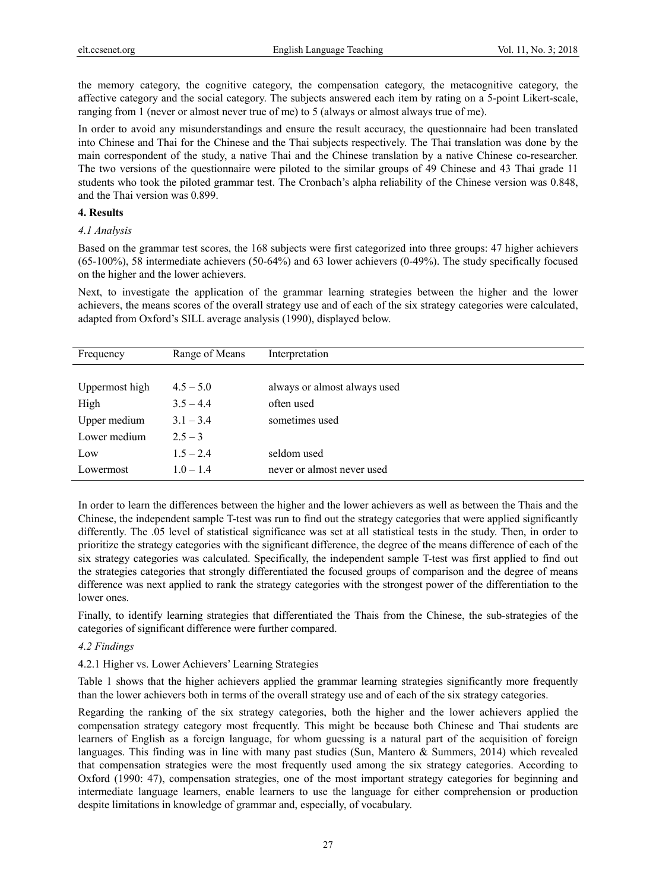the memory category, the cognitive category, the compensation category, the metacognitive category, the affective category and the social category. The subjects answered each item by rating on a 5-point Likert-scale, ranging from 1 (never or almost never true of me) to 5 (always or almost always true of me).

In order to avoid any misunderstandings and ensure the result accuracy, the questionnaire had been translated into Chinese and Thai for the Chinese and the Thai subjects respectively. The Thai translation was done by the main correspondent of the study, a native Thai and the Chinese translation by a native Chinese co-researcher. The two versions of the questionnaire were piloted to the similar groups of 49 Chinese and 43 Thai grade 11 students who took the piloted grammar test. The Cronbach's alpha reliability of the Chinese version was 0.848, and the Thai version was 0.899.

#### **4. Results**

#### *4.1 Analysis*

Based on the grammar test scores, the 168 subjects were first categorized into three groups: 47 higher achievers (65-100%), 58 intermediate achievers (50-64%) and 63 lower achievers (0-49%). The study specifically focused on the higher and the lower achievers.

Next, to investigate the application of the grammar learning strategies between the higher and the lower achievers, the means scores of the overall strategy use and of each of the six strategy categories were calculated, adapted from Oxford's SILL average analysis (1990), displayed below.

| Range of Means | Interpretation               |
|----------------|------------------------------|
|                |                              |
| $4.5 - 5.0$    | always or almost always used |
| $3.5 - 4.4$    | often used                   |
| $3.1 - 3.4$    | sometimes used               |
| $2.5 - 3$      |                              |
| $1.5 - 2.4$    | seldom used                  |
| $1.0 - 1.4$    | never or almost never used   |
|                |                              |

In order to learn the differences between the higher and the lower achievers as well as between the Thais and the Chinese, the independent sample T-test was run to find out the strategy categories that were applied significantly differently. The .05 level of statistical significance was set at all statistical tests in the study. Then, in order to prioritize the strategy categories with the significant difference, the degree of the means difference of each of the six strategy categories was calculated. Specifically, the independent sample T-test was first applied to find out the strategies categories that strongly differentiated the focused groups of comparison and the degree of means difference was next applied to rank the strategy categories with the strongest power of the differentiation to the lower ones.

Finally, to identify learning strategies that differentiated the Thais from the Chinese, the sub-strategies of the categories of significant difference were further compared.

## *4.2 Findings*

#### 4.2.1 Higher vs. Lower Achievers' Learning Strategies

Table 1 shows that the higher achievers applied the grammar learning strategies significantly more frequently than the lower achievers both in terms of the overall strategy use and of each of the six strategy categories.

Regarding the ranking of the six strategy categories, both the higher and the lower achievers applied the compensation strategy category most frequently. This might be because both Chinese and Thai students are learners of English as a foreign language, for whom guessing is a natural part of the acquisition of foreign languages. This finding was in line with many past studies (Sun, Mantero & Summers, 2014) which revealed that compensation strategies were the most frequently used among the six strategy categories. According to Oxford (1990: 47), compensation strategies, one of the most important strategy categories for beginning and intermediate language learners, enable learners to use the language for either comprehension or production despite limitations in knowledge of grammar and, especially, of vocabulary.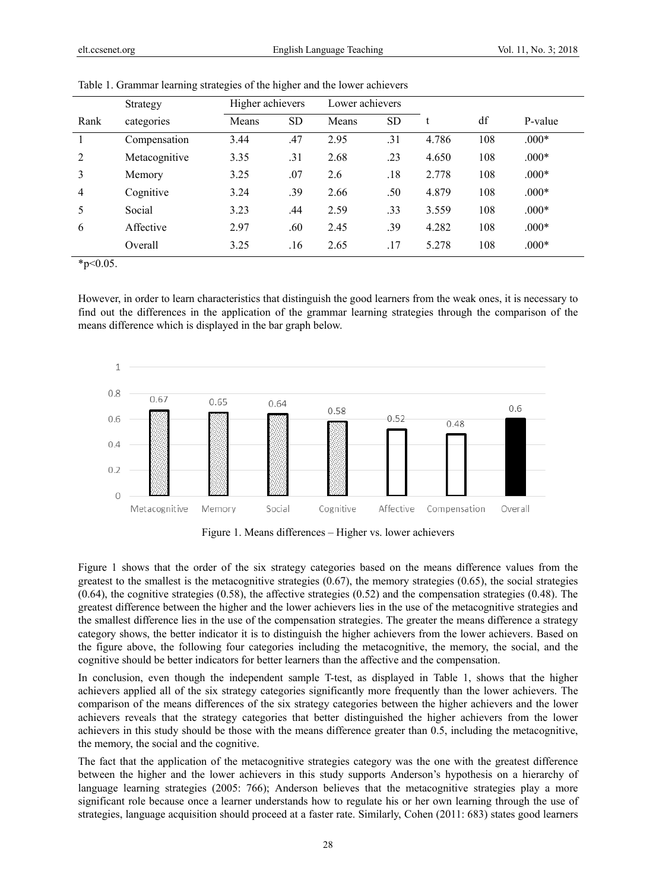|                | Strategy      | Higher achievers |           | Lower achievers |           |       |     |         |
|----------------|---------------|------------------|-----------|-----------------|-----------|-------|-----|---------|
| Rank           | categories    | Means            | <b>SD</b> | Means           | <b>SD</b> |       | df  | P-value |
|                | Compensation  | 3.44             | .47       | 2.95            | .31       | 4.786 | 108 | $.000*$ |
| 2              | Metacognitive | 3.35             | .31       | 2.68            | .23       | 4.650 | 108 | $.000*$ |
| 3              | Memory        | 3.25             | .07       | 2.6             | .18       | 2.778 | 108 | $.000*$ |
| $\overline{4}$ | Cognitive     | 3.24             | .39       | 2.66            | .50       | 4.879 | 108 | $.000*$ |
| 5              | Social        | 3.23             | .44       | 2.59            | .33       | 3.559 | 108 | $.000*$ |
| 6              | Affective     | 2.97             | .60       | 2.45            | .39       | 4.282 | 108 | $.000*$ |
|                | Overall       | 3.25             | .16       | 2.65            | .17       | 5.278 | 108 | $.000*$ |

Table 1. Grammar learning strategies of the higher and the lower achievers

 $*_{p<0.05}$ .

However, in order to learn characteristics that distinguish the good learners from the weak ones, it is necessary to find out the differences in the application of the grammar learning strategies through the comparison of the means difference which is displayed in the bar graph below.



Figure 1. Means differences – Higher vs. lower achievers

Figure 1 shows that the order of the six strategy categories based on the means difference values from the greatest to the smallest is the metacognitive strategies  $(0.67)$ , the memory strategies  $(0.65)$ , the social strategies (0.64), the cognitive strategies (0.58), the affective strategies (0.52) and the compensation strategies (0.48). The greatest difference between the higher and the lower achievers lies in the use of the metacognitive strategies and the smallest difference lies in the use of the compensation strategies. The greater the means difference a strategy category shows, the better indicator it is to distinguish the higher achievers from the lower achievers. Based on the figure above, the following four categories including the metacognitive, the memory, the social, and the cognitive should be better indicators for better learners than the affective and the compensation.

In conclusion, even though the independent sample T-test, as displayed in Table 1, shows that the higher achievers applied all of the six strategy categories significantly more frequently than the lower achievers. The comparison of the means differences of the six strategy categories between the higher achievers and the lower achievers reveals that the strategy categories that better distinguished the higher achievers from the lower achievers in this study should be those with the means difference greater than 0.5, including the metacognitive, the memory, the social and the cognitive.

The fact that the application of the metacognitive strategies category was the one with the greatest difference between the higher and the lower achievers in this study supports Anderson's hypothesis on a hierarchy of language learning strategies (2005: 766); Anderson believes that the metacognitive strategies play a more significant role because once a learner understands how to regulate his or her own learning through the use of strategies, language acquisition should proceed at a faster rate. Similarly, Cohen (2011: 683) states good learners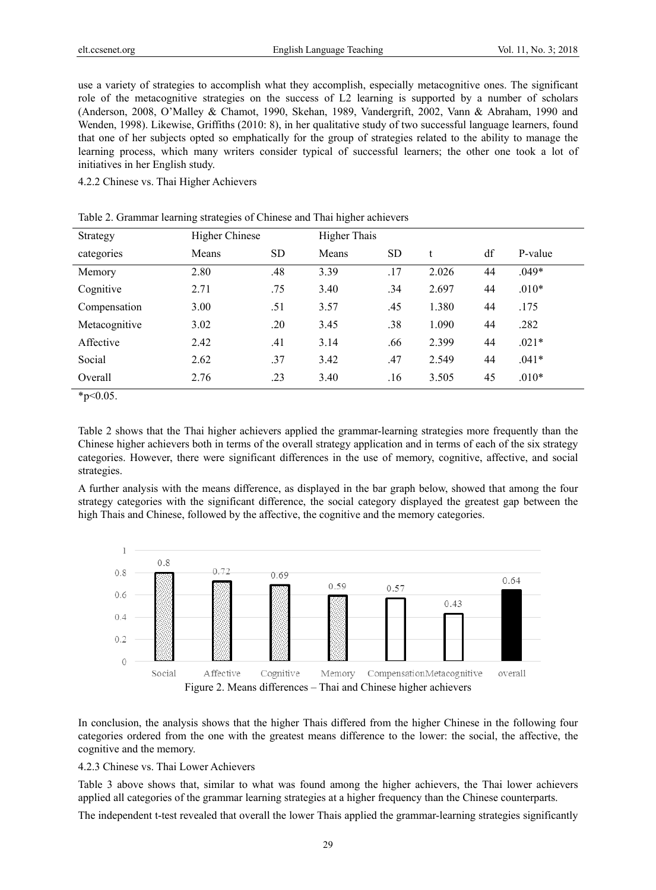use a variety of strategies to accomplish what they accomplish, especially metacognitive ones. The significant role of the metacognitive strategies on the success of L2 learning is supported by a number of scholars (Anderson, 2008, O'Malley & Chamot, 1990, Skehan, 1989, Vandergrift, 2002, Vann & Abraham, 1990 and Wenden, 1998). Likewise, Griffiths (2010: 8), in her qualitative study of two successful language learners, found that one of her subjects opted so emphatically for the group of strategies related to the ability to manage the learning process, which many writers consider typical of successful learners; the other one took a lot of initiatives in her English study.

4.2.2 Chinese vs. Thai Higher Achievers

|               | J<br>J                |           | $\check{ }$         |           |       |    |         |
|---------------|-----------------------|-----------|---------------------|-----------|-------|----|---------|
| Strategy      | <b>Higher Chinese</b> |           | <b>Higher Thais</b> |           |       |    |         |
| categories    | Means                 | <b>SD</b> | Means               | <b>SD</b> | t     | df | P-value |
| Memory        | 2.80                  | .48       | 3.39                | .17       | 2.026 | 44 | $.049*$ |
| Cognitive     | 2.71                  | .75       | 3.40                | .34       | 2.697 | 44 | $.010*$ |
| Compensation  | 3.00                  | .51       | 3.57                | .45       | 1.380 | 44 | .175    |
| Metacognitive | 3.02                  | .20       | 3.45                | .38       | 1.090 | 44 | .282    |
| Affective     | 2.42                  | .41       | 3.14                | .66       | 2.399 | 44 | $.021*$ |
| Social        | 2.62                  | .37       | 3.42                | .47       | 2.549 | 44 | $.041*$ |
| Overall       | 2.76                  | .23       | 3.40                | .16       | 3.505 | 45 | $.010*$ |
|               |                       |           |                     |           |       |    |         |

| Table 2. Grammar learning strategies of Chinese and Thai higher achievers |  |
|---------------------------------------------------------------------------|--|
|                                                                           |  |

 $*p<0.05$ .

Table 2 shows that the Thai higher achievers applied the grammar-learning strategies more frequently than the Chinese higher achievers both in terms of the overall strategy application and in terms of each of the six strategy categories. However, there were significant differences in the use of memory, cognitive, affective, and social strategies.

A further analysis with the means difference, as displayed in the bar graph below, showed that among the four strategy categories with the significant difference, the social category displayed the greatest gap between the high Thais and Chinese, followed by the affective, the cognitive and the memory categories.



In conclusion, the analysis shows that the higher Thais differed from the higher Chinese in the following four categories ordered from the one with the greatest means difference to the lower: the social, the affective, the cognitive and the memory.

4.2.3 Chinese vs. Thai Lower Achievers

Table 3 above shows that, similar to what was found among the higher achievers, the Thai lower achievers applied all categories of the grammar learning strategies at a higher frequency than the Chinese counterparts.

The independent t-test revealed that overall the lower Thais applied the grammar-learning strategies significantly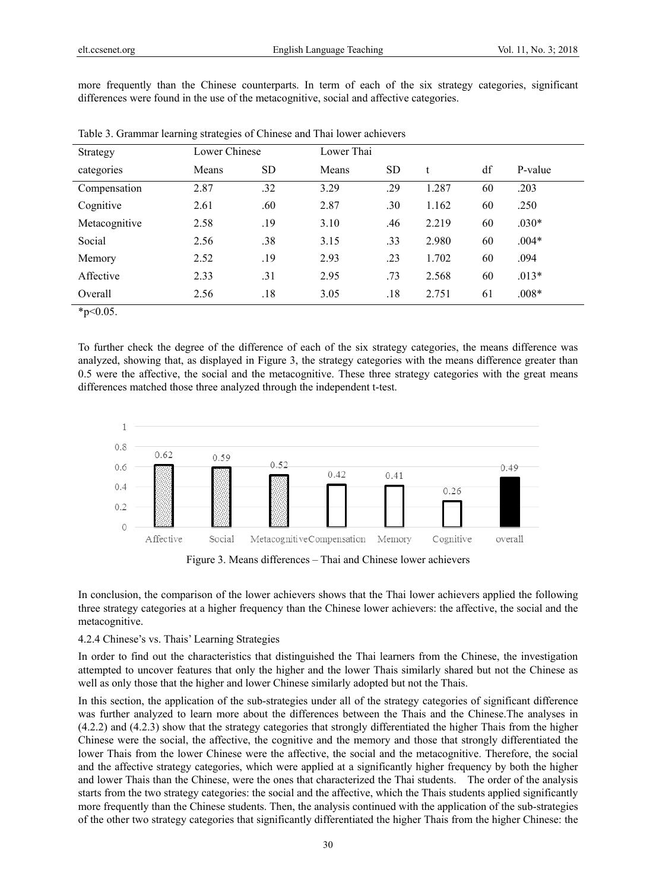more frequently than the Chinese counterparts. In term of each of the six strategy categories, significant differences were found in the use of the metacognitive, social and affective categories.

| Strategy      | Lower Chinese |           | Lower Thai |           |       |    |         |
|---------------|---------------|-----------|------------|-----------|-------|----|---------|
| categories    | Means         | <b>SD</b> | Means      | <b>SD</b> | t     | df | P-value |
| Compensation  | 2.87          | .32       | 3.29       | .29       | 1.287 | 60 | .203    |
| Cognitive     | 2.61          | .60       | 2.87       | .30       | 1.162 | 60 | .250    |
| Metacognitive | 2.58          | .19       | 3.10       | .46       | 2.219 | 60 | $.030*$ |
| Social        | 2.56          | .38       | 3.15       | .33       | 2.980 | 60 | $.004*$ |
| Memory        | 2.52          | .19       | 2.93       | .23       | 1.702 | 60 | .094    |
| Affective     | 2.33          | .31       | 2.95       | .73       | 2.568 | 60 | $.013*$ |
| Overall       | 2.56          | .18       | 3.05       | .18       | 2.751 | 61 | $.008*$ |

Table 3. Grammar learning strategies of Chinese and Thai lower achievers

 $*_{p<0.05}$ .

To further check the degree of the difference of each of the six strategy categories, the means difference was analyzed, showing that, as displayed in Figure 3, the strategy categories with the means difference greater than 0.5 were the affective, the social and the metacognitive. These three strategy categories with the great means differences matched those three analyzed through the independent t-test.



Figure 3. Means differences – Thai and Chinese lower achievers

In conclusion, the comparison of the lower achievers shows that the Thai lower achievers applied the following three strategy categories at a higher frequency than the Chinese lower achievers: the affective, the social and the metacognitive.

#### 4.2.4 Chinese's vs. Thais' Learning Strategies

In order to find out the characteristics that distinguished the Thai learners from the Chinese, the investigation attempted to uncover features that only the higher and the lower Thais similarly shared but not the Chinese as well as only those that the higher and lower Chinese similarly adopted but not the Thais.

In this section, the application of the sub-strategies under all of the strategy categories of significant difference was further analyzed to learn more about the differences between the Thais and the Chinese.The analyses in (4.2.2) and (4.2.3) show that the strategy categories that strongly differentiated the higher Thais from the higher Chinese were the social, the affective, the cognitive and the memory and those that strongly differentiated the lower Thais from the lower Chinese were the affective, the social and the metacognitive. Therefore, the social and the affective strategy categories, which were applied at a significantly higher frequency by both the higher and lower Thais than the Chinese, were the ones that characterized the Thai students. The order of the analysis starts from the two strategy categories: the social and the affective, which the Thais students applied significantly more frequently than the Chinese students. Then, the analysis continued with the application of the sub-strategies of the other two strategy categories that significantly differentiated the higher Thais from the higher Chinese: the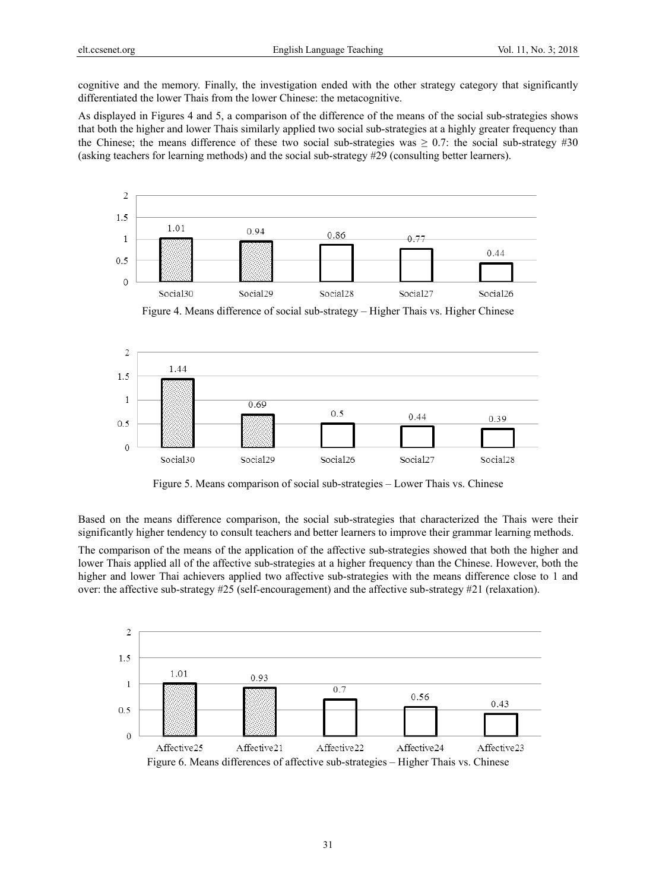cognitive and the memory. Finally, the investigation ended with the other strategy category that significantly differentiated the lower Thais from the lower Chinese: the metacognitive.

As displayed in Figures 4 and 5, a comparison of the difference of the means of the social sub-strategies shows that both the higher and lower Thais similarly applied two social sub-strategies at a highly greater frequency than the Chinese; the means difference of these two social sub-strategies was  $\geq 0.7$ : the social sub-strategy #30 (asking teachers for learning methods) and the social sub-strategy #29 (consulting better learners).







Figure 5. Means comparison of social sub-strategies – Lower Thais vs. Chinese

Based on the means difference comparison, the social sub-strategies that characterized the Thais were their significantly higher tendency to consult teachers and better learners to improve their grammar learning methods.

The comparison of the means of the application of the affective sub-strategies showed that both the higher and lower Thais applied all of the affective sub-strategies at a higher frequency than the Chinese. However, both the higher and lower Thai achievers applied two affective sub-strategies with the means difference close to 1 and over: the affective sub-strategy #25 (self-encouragement) and the affective sub-strategy #21 (relaxation).

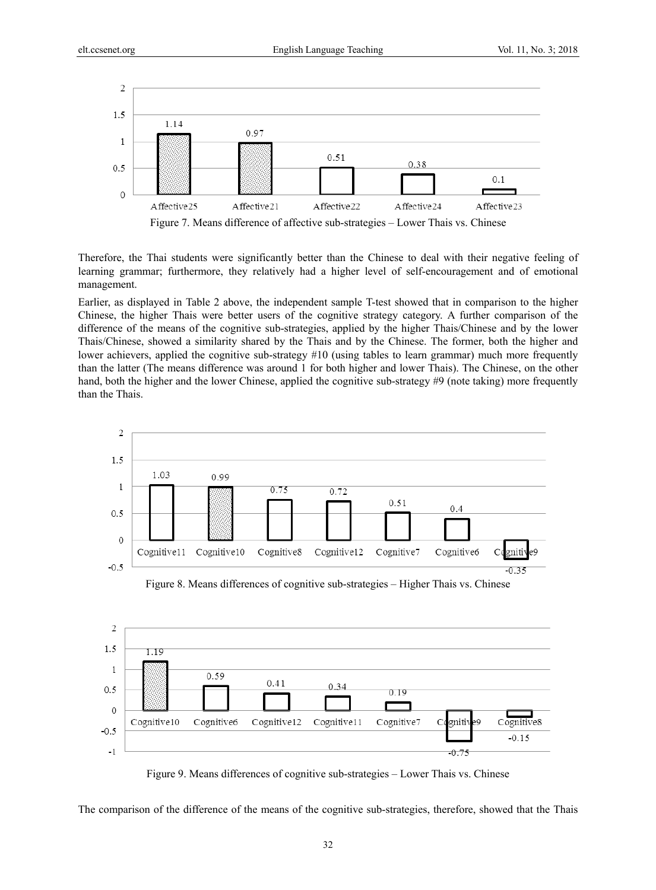

Therefore, the Thai students were significantly better than the Chinese to deal with their negative feeling of learning grammar; furthermore, they relatively had a higher level of self-encouragement and of emotional management.

Earlier, as displayed in Table 2 above, the independent sample T-test showed that in comparison to the higher Chinese, the higher Thais were better users of the cognitive strategy category. A further comparison of the difference of the means of the cognitive sub-strategies, applied by the higher Thais/Chinese and by the lower Thais/Chinese, showed a similarity shared by the Thais and by the Chinese. The former, both the higher and lower achievers, applied the cognitive sub-strategy #10 (using tables to learn grammar) much more frequently than the latter (The means difference was around 1 for both higher and lower Thais). The Chinese, on the other hand, both the higher and the lower Chinese, applied the cognitive sub-strategy #9 (note taking) more frequently than the Thais.



Figure 8. Means differences of cognitive sub-strategies – Higher Thais vs. Chinese



Figure 9. Means differences of cognitive sub-strategies – Lower Thais vs. Chinese

The comparison of the difference of the means of the cognitive sub-strategies, therefore, showed that the Thais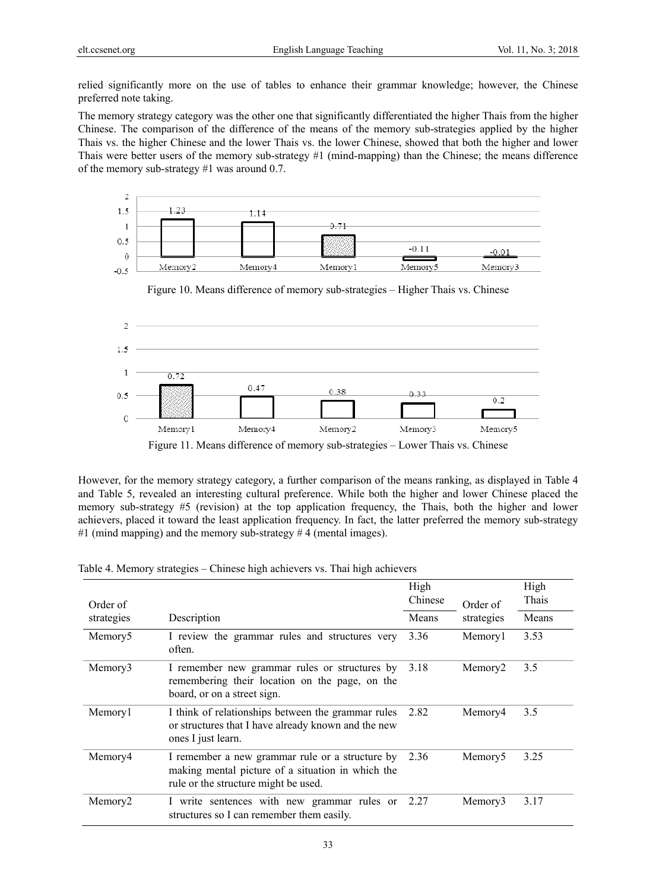relied significantly more on the use of tables to enhance their grammar knowledge; however, the Chinese preferred note taking.

The memory strategy category was the other one that significantly differentiated the higher Thais from the higher Chinese. The comparison of the difference of the means of the memory sub-strategies applied by the higher Thais vs. the higher Chinese and the lower Thais vs. the lower Chinese, showed that both the higher and lower Thais were better users of the memory sub-strategy #1 (mind-mapping) than the Chinese; the means difference of the memory sub-strategy #1 was around 0.7.







However, for the memory strategy category, a further comparison of the means ranking, as displayed in Table 4 and Table 5, revealed an interesting cultural preference. While both the higher and lower Chinese placed the memory sub-strategy #5 (revision) at the top application frequency, the Thais, both the higher and lower achievers, placed it toward the least application frequency. In fact, the latter preferred the memory sub-strategy #1 (mind mapping) and the memory sub-strategy #4 (mental images).

| Order of            |                                                                                                                                              | High<br>Chinese | Order of            | High<br>Thais |
|---------------------|----------------------------------------------------------------------------------------------------------------------------------------------|-----------------|---------------------|---------------|
| strategies          | Description                                                                                                                                  | Means           | strategies          | Means         |
| Memory <sub>5</sub> | I review the grammar rules and structures very<br>often.                                                                                     | 3.36            | Memory1             | 3.53          |
| Memory3             | I remember new grammar rules or structures by<br>remembering their location on the page, on the<br>board, or on a street sign.               | 3.18            | Memory <sub>2</sub> | 3.5           |
| Memory1             | I think of relationships between the grammar rules<br>or structures that I have already known and the new<br>ones I just learn.              | 2.82            | Memory4             | 3.5           |
| Memory4             | I remember a new grammar rule or a structure by<br>making mental picture of a situation in which the<br>rule or the structure might be used. | 2.36            | Memory <sub>5</sub> | 3.25          |
| Memory <sub>2</sub> | I write sentences with new grammar rules or 2.27<br>structures so I can remember them easily.                                                |                 | Memory3             | 3.17          |

Table 4. Memory strategies – Chinese high achievers vs. Thai high achievers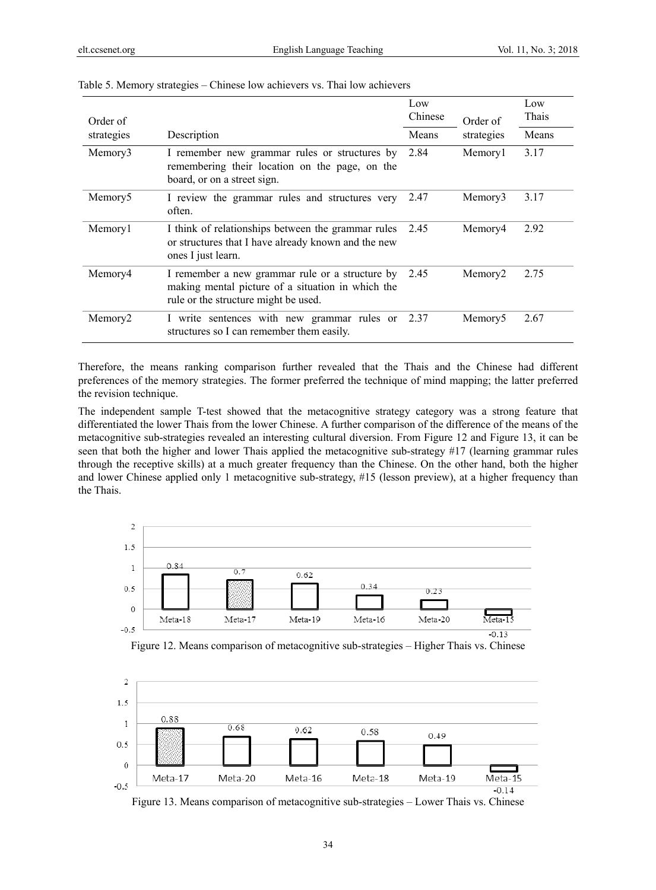| Order of            |                                                                                                                                              | Low<br>Chinese | Order of            | Low<br>Thais |
|---------------------|----------------------------------------------------------------------------------------------------------------------------------------------|----------------|---------------------|--------------|
| strategies          | Description                                                                                                                                  | Means          | strategies          | Means        |
| Memory3             | I remember new grammar rules or structures by<br>remembering their location on the page, on the<br>board, or on a street sign.               | 2.84           | Memory1             | 3.17         |
| Memory <sub>5</sub> | I review the grammar rules and structures very<br>often.                                                                                     | 2.47           | Memory3             | 3.17         |
| Memory1             | I think of relationships between the grammar rules<br>or structures that I have already known and the new<br>ones I just learn.              | 2.45           | Memory4             | 2.92         |
| Memory4             | I remember a new grammar rule or a structure by<br>making mental picture of a situation in which the<br>rule or the structure might be used. | 2.45           | Memory <sub>2</sub> | 2.75         |
| Memory <sub>2</sub> | I write sentences with new grammar rules or 2.37<br>structures so I can remember them easily.                                                |                | Memory <sub>5</sub> | 2.67         |

#### Table 5. Memory strategies – Chinese low achievers vs. Thai low achievers

Therefore, the means ranking comparison further revealed that the Thais and the Chinese had different preferences of the memory strategies. The former preferred the technique of mind mapping; the latter preferred the revision technique.

The independent sample T-test showed that the metacognitive strategy category was a strong feature that differentiated the lower Thais from the lower Chinese. A further comparison of the difference of the means of the metacognitive sub-strategies revealed an interesting cultural diversion. From Figure 12 and Figure 13, it can be seen that both the higher and lower Thais applied the metacognitive sub-strategy #17 (learning grammar rules through the receptive skills) at a much greater frequency than the Chinese. On the other hand, both the higher and lower Chinese applied only 1 metacognitive sub-strategy, #15 (lesson preview), at a higher frequency than the Thais.







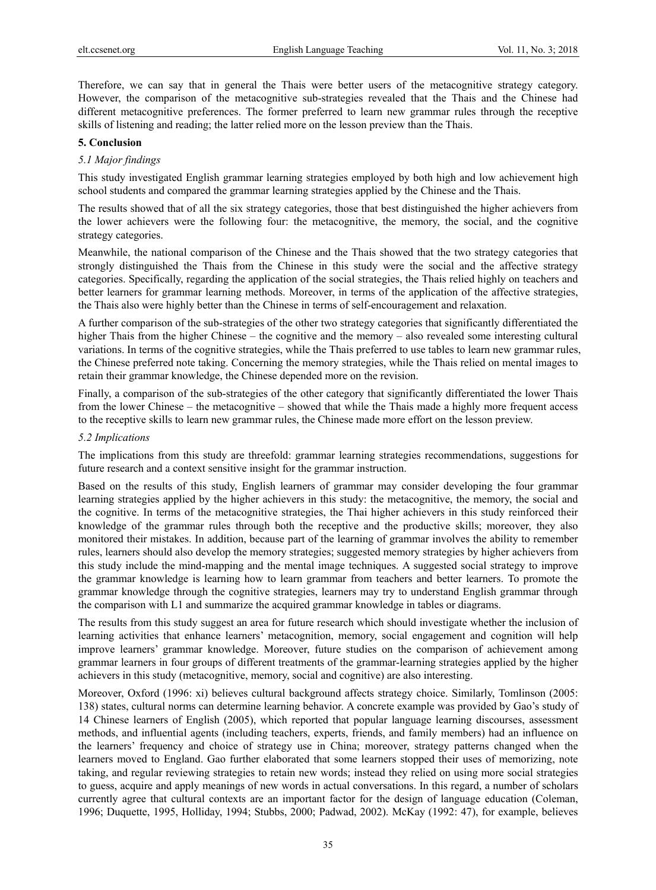Therefore, we can say that in general the Thais were better users of the metacognitive strategy category. However, the comparison of the metacognitive sub-strategies revealed that the Thais and the Chinese had different metacognitive preferences. The former preferred to learn new grammar rules through the receptive skills of listening and reading; the latter relied more on the lesson preview than the Thais.

#### **5. Conclusion**

#### *5.1 Major findings*

This study investigated English grammar learning strategies employed by both high and low achievement high school students and compared the grammar learning strategies applied by the Chinese and the Thais.

The results showed that of all the six strategy categories, those that best distinguished the higher achievers from the lower achievers were the following four: the metacognitive, the memory, the social, and the cognitive strategy categories.

Meanwhile, the national comparison of the Chinese and the Thais showed that the two strategy categories that strongly distinguished the Thais from the Chinese in this study were the social and the affective strategy categories. Specifically, regarding the application of the social strategies, the Thais relied highly on teachers and better learners for grammar learning methods. Moreover, in terms of the application of the affective strategies, the Thais also were highly better than the Chinese in terms of self-encouragement and relaxation.

A further comparison of the sub-strategies of the other two strategy categories that significantly differentiated the higher Thais from the higher Chinese – the cognitive and the memory – also revealed some interesting cultural variations. In terms of the cognitive strategies, while the Thais preferred to use tables to learn new grammar rules, the Chinese preferred note taking. Concerning the memory strategies, while the Thais relied on mental images to retain their grammar knowledge, the Chinese depended more on the revision.

Finally, a comparison of the sub-strategies of the other category that significantly differentiated the lower Thais from the lower Chinese – the metacognitive – showed that while the Thais made a highly more frequent access to the receptive skills to learn new grammar rules, the Chinese made more effort on the lesson preview.

#### *5.2 Implications*

The implications from this study are threefold: grammar learning strategies recommendations, suggestions for future research and a context sensitive insight for the grammar instruction.

Based on the results of this study, English learners of grammar may consider developing the four grammar learning strategies applied by the higher achievers in this study: the metacognitive, the memory, the social and the cognitive. In terms of the metacognitive strategies, the Thai higher achievers in this study reinforced their knowledge of the grammar rules through both the receptive and the productive skills; moreover, they also monitored their mistakes. In addition, because part of the learning of grammar involves the ability to remember rules, learners should also develop the memory strategies; suggested memory strategies by higher achievers from this study include the mind-mapping and the mental image techniques. A suggested social strategy to improve the grammar knowledge is learning how to learn grammar from teachers and better learners. To promote the grammar knowledge through the cognitive strategies, learners may try to understand English grammar through the comparison with L1 and summarize the acquired grammar knowledge in tables or diagrams.

The results from this study suggest an area for future research which should investigate whether the inclusion of learning activities that enhance learners' metacognition, memory, social engagement and cognition will help improve learners' grammar knowledge. Moreover, future studies on the comparison of achievement among grammar learners in four groups of different treatments of the grammar-learning strategies applied by the higher achievers in this study (metacognitive, memory, social and cognitive) are also interesting.

Moreover, Oxford (1996: xi) believes cultural background affects strategy choice. Similarly, Tomlinson (2005: 138) states, cultural norms can determine learning behavior. A concrete example was provided by Gao's study of 14 Chinese learners of English (2005), which reported that popular language learning discourses, assessment methods, and influential agents (including teachers, experts, friends, and family members) had an influence on the learners' frequency and choice of strategy use in China; moreover, strategy patterns changed when the learners moved to England. Gao further elaborated that some learners stopped their uses of memorizing, note taking, and regular reviewing strategies to retain new words; instead they relied on using more social strategies to guess, acquire and apply meanings of new words in actual conversations. In this regard, a number of scholars currently agree that cultural contexts are an important factor for the design of language education (Coleman, 1996; Duquette, 1995, Holliday, 1994; Stubbs, 2000; Padwad, 2002). McKay (1992: 47), for example, believes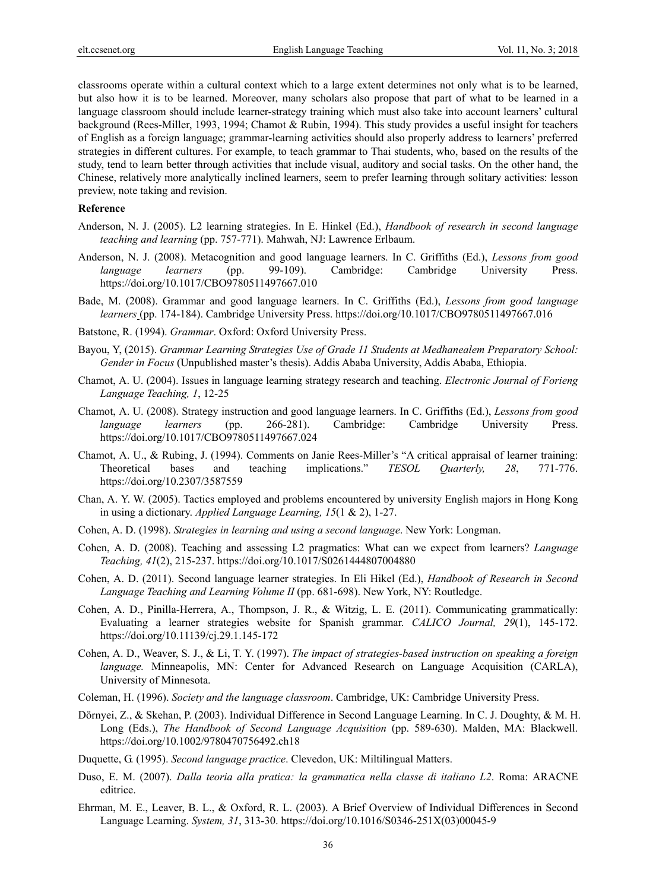classrooms operate within a cultural context which to a large extent determines not only what is to be learned, but also how it is to be learned. Moreover, many scholars also propose that part of what to be learned in a language classroom should include learner-strategy training which must also take into account learners' cultural background (Rees-Miller, 1993, 1994; Chamot & Rubin, 1994). This study provides a useful insight for teachers of English as a foreign language; grammar-learning activities should also properly address to learners' preferred strategies in different cultures. For example, to teach grammar to Thai students, who, based on the results of the study, tend to learn better through activities that include visual, auditory and social tasks. On the other hand, the Chinese, relatively more analytically inclined learners, seem to prefer learning through solitary activities: lesson preview, note taking and revision.

#### **Reference**

- Anderson, N. J. (2005). L2 learning strategies. In E. Hinkel (Ed.), *Handbook of research in second language teaching and learning* (pp. 757-771). Mahwah, NJ: Lawrence Erlbaum.
- Anderson, N. J. (2008). Metacognition and good language learners. In C. Griffiths (Ed.), *Lessons from good language learners* (pp. 99-109). Cambridge: Cambridge University Press. https://doi.org/10.1017/CBO9780511497667.010
- Bade, M. (2008). Grammar and good language learners. In C. Griffiths (Ed.), *Lessons from good language learners* (pp. 174-184). Cambridge University Press. https://doi.org/10.1017/CBO9780511497667.016
- Batstone, R. (1994). *Grammar*. Oxford: Oxford University Press.
- Bayou, Y, (2015). *Grammar Learning Strategies Use of Grade 11 Students at Medhanealem Preparatory School: Gender in Focus* (Unpublished master's thesis). Addis Ababa University, Addis Ababa, Ethiopia.
- Chamot, A. U. (2004). Issues in language learning strategy research and teaching. *Electronic Journal of Forieng Language Teaching, 1*, 12-25
- Chamot, A. U. (2008). Strategy instruction and good language learners. In C. Griffiths (Ed.), *Lessons from good language learners* (pp. 266-281). Cambridge: Cambridge University Press. https://doi.org/10.1017/CBO9780511497667.024
- Chamot, A. U., & Rubing, J. (1994). Comments on Janie Rees-Miller's "A critical appraisal of learner training: Theoretical bases and teaching implications." *TESOL Quarterly, 28*, 771-776. https://doi.org/10.2307/3587559
- Chan, A. Y. W. (2005). Tactics employed and problems encountered by university English majors in Hong Kong in using a dictionary. *Applied Language Learning, 15*(1 & 2), 1-27.
- Cohen, A. D. (1998). *Strategies in learning and using a second language*. New York: Longman.
- Cohen, A. D. (2008). Teaching and assessing L2 pragmatics: What can we expect from learners? *Language Teaching, 41*(2), 215-237. https://doi.org/10.1017/S0261444807004880
- Cohen, A. D. (2011). Second language learner strategies. In Eli Hikel (Ed.), *Handbook of Research in Second Language Teaching and Learning Volume II* (pp. 681-698). New York, NY: Routledge.
- Cohen, A. D., Pinilla-Herrera, A., Thompson, J. R., & Witzig, L. E. (2011). Communicating grammatically: Evaluating a learner strategies website for Spanish grammar. *CALICO Journal, 29*(1), 145-172. https://doi.org/10.11139/cj.29.1.145-172
- Cohen, A. D., Weaver, S. J., & Li, T. Y. (1997). *The impact of strategies-based instruction on speaking a foreign language.* Minneapolis, MN: Center for Advanced Research on Language Acquisition (CARLA), University of Minnesota.
- Coleman, H. (1996). *Society and the language classroom*. Cambridge, UK: Cambridge University Press.
- Dörnyei, Z., & Skehan, P. (2003). Individual Difference in Second Language Learning. In C. J. Doughty, & M. H. Long (Eds.), *The Handbook of Second Language Acquisition* (pp. 589-630). Malden, MA: Blackwell. https://doi.org/10.1002/9780470756492.ch18
- Duquette, G. (1995). *Second language practice*. Clevedon, UK: Miltilingual Matters.
- Duso, E. M. (2007). *Dalla teoria alla pratica: la grammatica nella classe di italiano L2*. Roma: ARACNE editrice.
- Ehrman, M. E., Leaver, B. L., & Oxford, R. L. (2003). A Brief Overview of Individual Differences in Second Language Learning. *System, 31*, 313-30. https://doi.org/10.1016/S0346-251X(03)00045-9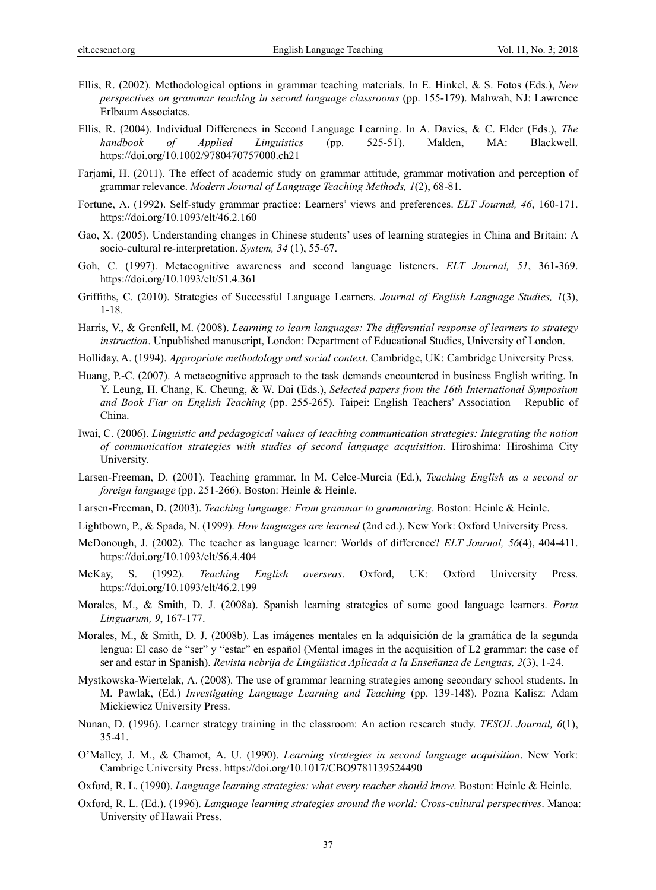- Ellis, R. (2002). Methodological options in grammar teaching materials. In E. Hinkel, & S. Fotos (Eds.), *New perspectives on grammar teaching in second language classrooms* (pp. 155-179). Mahwah, NJ: Lawrence Erlbaum Associates.
- Ellis, R. (2004). Individual Differences in Second Language Learning. In A. Davies, & C. Elder (Eds.), *The handbook of Applied Linguistics* (pp. 525-51). Malden, MA: Blackwell. https://doi.org/10.1002/9780470757000.ch21
- Farjami, H. (2011). The effect of academic study on grammar attitude, grammar motivation and perception of grammar relevance. *Modern Journal of Language Teaching Methods, 1*(2), 68-81.
- Fortune, A. (1992). Self-study grammar practice: Learners' views and preferences. *ELT Journal, 46*, 160-171. https://doi.org/10.1093/elt/46.2.160
- Gao, X. (2005). Understanding changes in Chinese students' uses of learning strategies in China and Britain: A socio-cultural re-interpretation. *System, 34* (1), 55-67.
- Goh, C. (1997). Metacognitive awareness and second language listeners. *ELT Journal, 51*, 361-369. https://doi.org/10.1093/elt/51.4.361
- Griffiths, C. (2010). Strategies of Successful Language Learners. *Journal of English Language Studies, 1*(3), 1-18.
- Harris, V., & Grenfell, M. (2008). *Learning to learn languages: The differential response of learners to strategy instruction*. Unpublished manuscript, London: Department of Educational Studies, University of London.
- Holliday, A. (1994). *Appropriate methodology and social context*. Cambridge, UK: Cambridge University Press.
- Huang, P.-C. (2007). A metacognitive approach to the task demands encountered in business English writing. In Y. Leung, H. Chang, K. Cheung, & W. Dai (Eds.), *Selected papers from the 16th International Symposium and Book Fiar on English Teaching* (pp. 255-265). Taipei: English Teachers' Association – Republic of China.
- Iwai, C. (2006). *Linguistic and pedagogical values of teaching communication strategies: Integrating the notion of communication strategies with studies of second language acquisition*. Hiroshima: Hiroshima City University.
- Larsen-Freeman, D. (2001). Teaching grammar. In M. Celce-Murcia (Ed.), *Teaching English as a second or foreign language* (pp. 251-266). Boston: Heinle & Heinle.
- Larsen-Freeman, D. (2003). *Teaching language: From grammar to grammaring*. Boston: Heinle & Heinle.
- Lightbown, P., & Spada, N. (1999). *How languages are learned* (2nd ed.). New York: Oxford University Press.
- McDonough, J. (2002). The teacher as language learner: Worlds of difference? *ELT Journal, 56*(4), 404-411. https://doi.org/10.1093/elt/56.4.404
- McKay, S. (1992). *Teaching English overseas*. Oxford, UK: Oxford University Press. https://doi.org/10.1093/elt/46.2.199
- Morales, M., & Smith, D. J. (2008a). Spanish learning strategies of some good language learners. *Porta Linguarum, 9*, 167-177.
- Morales, M., & Smith, D. J. (2008b). Las imágenes mentales en la adquisición de la gramática de la segunda lengua: El caso de "ser" y "estar" en español (Mental images in the acquisition of L2 grammar: the case of ser and estar in Spanish). *Revista nebrija de Lingüistica Aplicada a la Enseñanza de Lenguas, 2*(3), 1-24.
- Mystkowska-Wiertelak, A. (2008). The use of grammar learning strategies among secondary school students. In M. Pawlak, (Ed.) *Investigating Language Learning and Teaching* (pp. 139-148). Pozna–Kalisz: Adam Mickiewicz University Press.
- Nunan, D. (1996). Learner strategy training in the classroom: An action research study. *TESOL Journal, 6*(1), 35-41.
- O'Malley, J. M., & Chamot, A. U. (1990). *Learning strategies in second language acquisition*. New York: Cambrige University Press. https://doi.org/10.1017/CBO9781139524490
- Oxford, R. L. (1990). *Language learning strategies: what every teacher should know*. Boston: Heinle & Heinle.
- Oxford, R. L. (Ed.). (1996). *Language learning strategies around the world: Cross-cultural perspectives*. Manoa: University of Hawaii Press.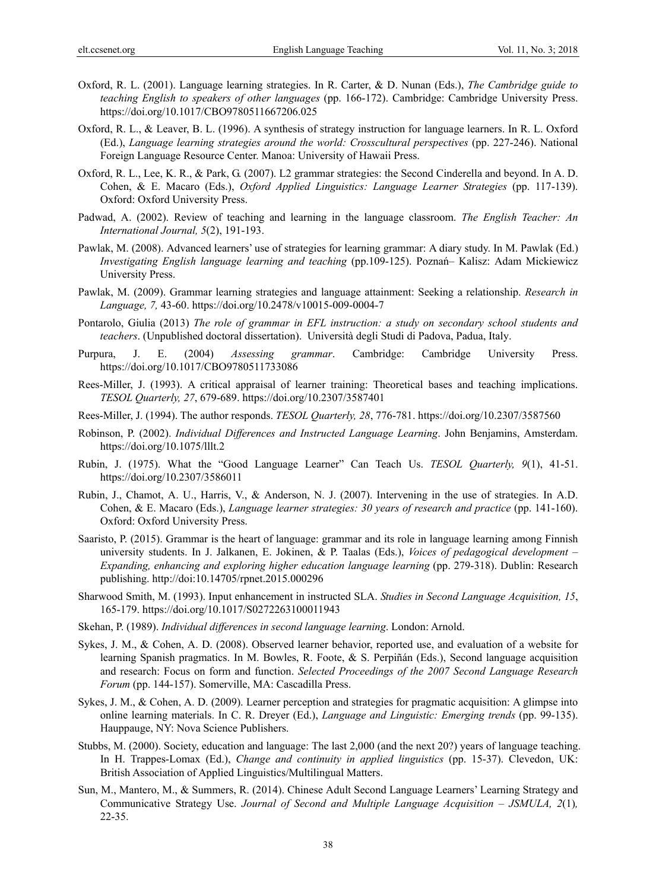- Oxford, R. L. (2001). Language learning strategies. In R. Carter, & D. Nunan (Eds.), *The Cambridge guide to teaching English to speakers of other languages* (pp. 166-172). Cambridge: Cambridge University Press. https://doi.org/10.1017/CBO9780511667206.025
- Oxford, R. L., & Leaver, B. L. (1996). A synthesis of strategy instruction for language learners. In R. L. Oxford (Ed.), *Language learning strategies around the world: Crosscultural perspectives* (pp. 227-246). National Foreign Language Resource Center. Manoa: University of Hawaii Press.
- Oxford, R. L., Lee, K. R., & Park, G. (2007). L2 grammar strategies: the Second Cinderella and beyond. In A. D. Cohen, & E. Macaro (Eds.), *Oxford Applied Linguistics: Language Learner Strategies* (pp. 117-139). Oxford: Oxford University Press.
- Padwad, A. (2002). Review of teaching and learning in the language classroom. *The English Teacher: An International Journal, 5*(2), 191-193.
- Pawlak, M. (2008). Advanced learners' use of strategies for learning grammar: A diary study. In M. Pawlak (Ed.) *Investigating English language learning and teaching* (pp.109-125). Poznań– Kalisz: Adam Mickiewicz University Press.
- Pawlak, M. (2009). Grammar learning strategies and language attainment: Seeking a relationship. *Research in Language, 7,* 43-60. https://doi.org/10.2478/v10015-009-0004-7
- Pontarolo, Giulia (2013) *The role of grammar in EFL instruction: a study on secondary school students and teachers*. (Unpublished doctoral dissertation). Università degli Studi di Padova, Padua, Italy.
- Purpura, J. E. (2004) *Assessing grammar*. Cambridge: Cambridge University Press. https://doi.org/10.1017/CBO9780511733086
- Rees-Miller, J. (1993). A critical appraisal of learner training: Theoretical bases and teaching implications. *TESOL Quarterly, 27*, 679-689. https://doi.org/10.2307/3587401
- Rees-Miller, J. (1994). The author responds. *TESOL Quarterly, 28*, 776-781. https://doi.org/10.2307/3587560
- Robinson, P. (2002). *Individual Differences and Instructed Language Learning*. John Benjamins, Amsterdam. https://doi.org/10.1075/lllt.2
- Rubin, J. (1975). What the "Good Language Learner" Can Teach Us. *TESOL Quarterly, 9*(1), 41-51. https://doi.org/10.2307/3586011
- Rubin, J., Chamot, A. U., Harris, V., & Anderson, N. J. (2007). Intervening in the use of strategies. In A.D. Cohen, & E. Macaro (Eds.), *Language learner strategies: 30 years of research and practice* (pp. 141-160). Oxford: Oxford University Press.
- Saaristo, P. (2015). Grammar is the heart of language: grammar and its role in language learning among Finnish university students. In J. Jalkanen, E. Jokinen, & P. Taalas (Eds.), *Voices of pedagogical development – Expanding, enhancing and exploring higher education language learning* (pp. 279-318). Dublin: Research publishing. http://doi:10.14705/rpnet.2015.000296
- Sharwood Smith, M. (1993). Input enhancement in instructed SLA. *Studies in Second Language Acquisition, 15*, 165-179. https://doi.org/10.1017/S0272263100011943
- Skehan, P. (1989). *Individual differences in second language learning*. London: Arnold.
- Sykes, J. M., & Cohen, A. D. (2008). Observed learner behavior, reported use, and evaluation of a website for learning Spanish pragmatics. In M. Bowles, R. Foote, & S. Perpiñán (Eds.), Second language acquisition and research: Focus on form and function. *Selected Proceedings of the 2007 Second Language Research Forum* (pp. 144-157). Somerville, MA: Cascadilla Press.
- Sykes, J. M., & Cohen, A. D. (2009). Learner perception and strategies for pragmatic acquisition: A glimpse into online learning materials. In C. R. Dreyer (Ed.), *Language and Linguistic: Emerging trends* (pp. 99-135). Hauppauge, NY: Nova Science Publishers.
- Stubbs, M. (2000). Society, education and language: The last 2,000 (and the next 20?) years of language teaching. In H. Trappes-Lomax (Ed.), *Change and continuity in applied linguistics* (pp. 15-37). Clevedon, UK: British Association of Applied Linguistics/Multilingual Matters.
- Sun, M., Mantero, M., & Summers, R. (2014). Chinese Adult Second Language Learners' Learning Strategy and Communicative Strategy Use. *Journal of Second and Multiple Language Acquisition – JSMULA, 2*(1)*,*  22-35.